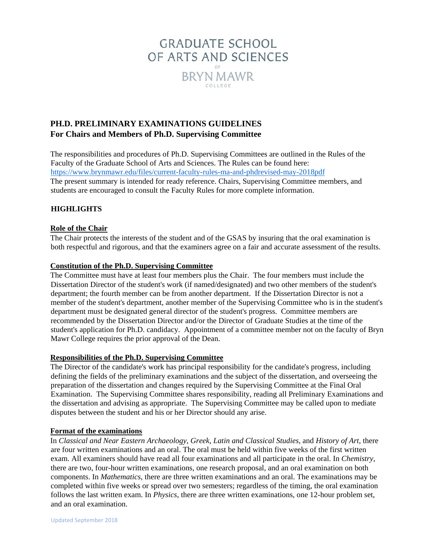

# **PH.D. PRELIMINARY EXAMINATIONS GUIDELINES For Chairs and Members of Ph.D. Supervising Committee**

The responsibilities and procedures of Ph.D. Supervising Committees are outlined in the Rules of the Faculty of the Graduate School of Arts and Sciences. The Rules can be found here: <https://www.brynmawr.edu/files/current-faculty-rules-ma-and-phdrevised-may-2018pdf> The present summary is intended for ready reference. Chairs, Supervising Committee members, and students are encouraged to consult the Faculty Rules for more complete information.

# **HIGHLIGHTS**

## **Role of the Chair**

The Chair protects the interests of the student and of the GSAS by insuring that the oral examination is both respectful and rigorous, and that the examiners agree on a fair and accurate assessment of the results.

## **Constitution of the Ph.D. Supervising Committee**

The Committee must have at least four members plus the Chair. The four members must include the Dissertation Director of the student's work (if named/designated) and two other members of the student's department; the fourth member can be from another department. If the Dissertation Director is not a member of the student's department, another member of the Supervising Committee who is in the student's department must be designated general director of the student's progress. Committee members are recommended by the Dissertation Director and/or the Director of Graduate Studies at the time of the student's application for Ph.D. candidacy. Appointment of a committee member not on the faculty of Bryn Mawr College requires the prior approval of the Dean.

### **Responsibilities of the Ph.D. Supervising Committee**

The Director of the candidate's work has principal responsibility for the candidate's progress, including defining the fields of the preliminary examinations and the subject of the dissertation, and overseeing the preparation of the dissertation and changes required by the Supervising Committee at the Final Oral Examination. The Supervising Committee shares responsibility, reading all Preliminary Examinations and the dissertation and advising as appropriate. The Supervising Committee may be called upon to mediate disputes between the student and his or her Director should any arise.

### **Format of the examinations**

In *Classical and Near Eastern Archaeology*, *Greek, Latin and Classical Studies*, and *History of Art,* there are four written examinations and an oral. The oral must be held within five weeks of the first written exam. All examiners should have read all four examinations and all participate in the oral. In *Chemistry*, there are two, four-hour written examinations, one research proposal, and an oral examination on both components. In *Mathematics*, there are three written examinations and an oral. The examinations may be completed within five weeks or spread over two semesters; regardless of the timing, the oral examination follows the last written exam. In *Physics*, there are three written examinations, one 12-hour problem set, and an oral examination.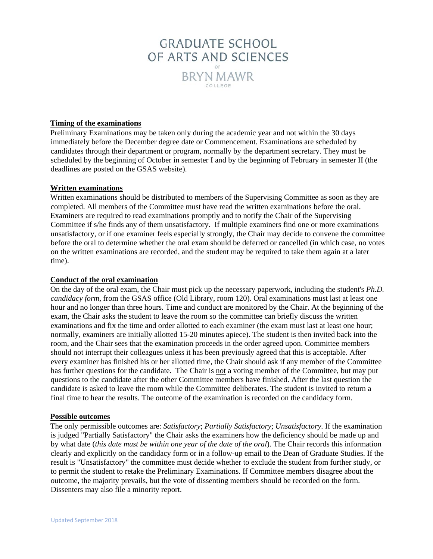

#### **Timing of the examinations**

Preliminary Examinations may be taken only during the academic year and not within the 30 days immediately before the December degree date or Commencement. Examinations are scheduled by candidates through their department or program, normally by the department secretary. They must be scheduled by the beginning of October in semester I and by the beginning of February in semester II (the deadlines are posted on the GSAS website).

#### **Written examinations**

Written examinations should be distributed to members of the Supervising Committee as soon as they are completed. All members of the Committee must have read the written examinations before the oral. Examiners are required to read examinations promptly and to notify the Chair of the Supervising Committee if s/he finds any of them unsatisfactory. If multiple examiners find one or more examinations unsatisfactory, or if one examiner feels especially strongly, the Chair may decide to convene the committee before the oral to determine whether the oral exam should be deferred or cancelled (in which case, no votes on the written examinations are recorded, and the student may be required to take them again at a later time).

#### **Conduct of the oral examination**

On the day of the oral exam, the Chair must pick up the necessary paperwork, including the student's *Ph.D. candidacy form*, from the GSAS office (Old Library, room 120). Oral examinations must last at least one hour and no longer than three hours. Time and conduct are monitored by the Chair. At the beginning of the exam, the Chair asks the student to leave the room so the committee can briefly discuss the written examinations and fix the time and order allotted to each examiner (the exam must last at least one hour; normally, examiners are initially allotted 15-20 minutes apiece). The student is then invited back into the room, and the Chair sees that the examination proceeds in the order agreed upon. Committee members should not interrupt their colleagues unless it has been previously agreed that this is acceptable. After every examiner has finished his or her allotted time, the Chair should ask if any member of the Committee has further questions for the candidate. The Chair is not a voting member of the Committee, but may put questions to the candidate after the other Committee members have finished. After the last question the candidate is asked to leave the room while the Committee deliberates. The student is invited to return a final time to hear the results. The outcome of the examination is recorded on the candidacy form.

#### **Possible outcomes**

The only permissible outcomes are: *Satisfactory*; *Partially Satisfactory*; *Unsatisfactory*. If the examination is judged "Partially Satisfactory" the Chair asks the examiners how the deficiency should be made up and by what date (*this date must be within one year of the date of the oral*). The Chair records this information clearly and explicitly on the candidacy form or in a follow-up email to the Dean of Graduate Studies. If the result is "Unsatisfactory" the committee must decide whether to exclude the student from further study, or to permit the student to retake the Preliminary Examinations. If Committee members disagree about the outcome, the majority prevails, but the vote of dissenting members should be recorded on the form. Dissenters may also file a minority report.